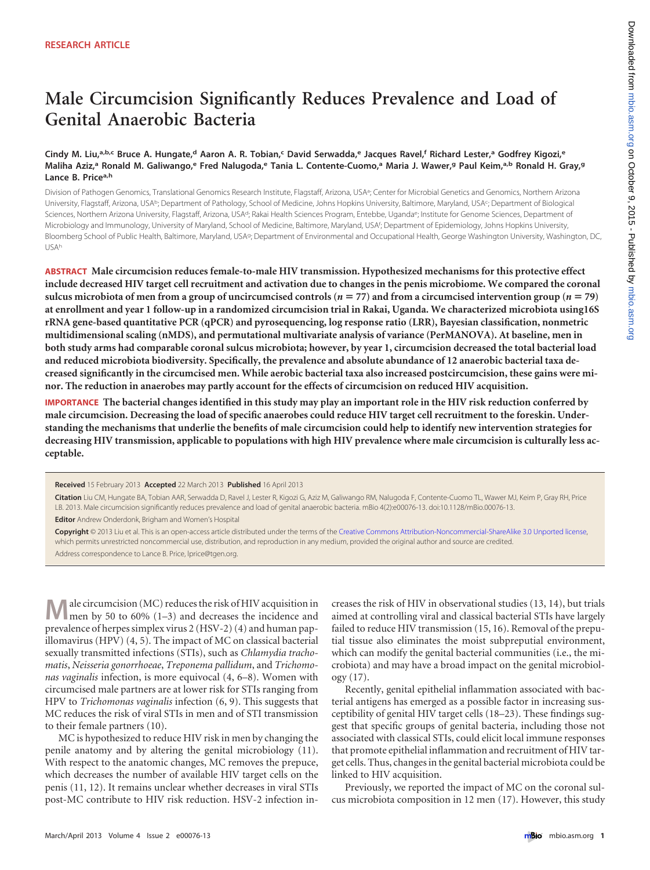# **Male Circumcision Significantly Reduces Prevalence and Load of Genital Anaerobic Bacteria**

# Cindy M. Liu,ª.b.c Bruce A. Hungate,d Aaron A. R. Tobian,<sup>c</sup> David Serwadda,<sup>e</sup> Jacques Ravel,f Richard Lester,ª Godfrey Kigozi,<sup>e</sup> Maliha Aziz,ª Ronald M. Galiwango,<sup>e</sup> Fred Nalugoda,<sup>e</sup> Tania L. Contente-Cuomo,ª Maria J. Wawer,ª Paul Keim,ª.b Ronald H. Gray,ª **Lance B. Pricea,h**

Division of Pathogen Genomics, Translational Genomics Research Institute, Flagstaff, Arizona, USA<sup>a</sup>; Center for Microbial Genetics and Genomics, Northern Arizona University, Flagstaff, Arizona, USA<sup>b;</sup> Department of Pathology, School of Medicine, Johns Hopkins University, Baltimore, Maryland, USA<sup>c</sup>; Department of Biological Sciences, Northern Arizona University, Flagstaff, Arizona, USA<sup>d</sup>; Rakai Health Sciences Program, Entebbe, Uganda<sup>e</sup>; Institute for Genome Sciences, Department of Microbiology and Immunology, University of Maryland, School of Medicine, Baltimore, Maryland, USA<sup>f</sup>; Department of Epidemiology, Johns Hopkins University, Bloomberg School of Public Health, Baltimore, Maryland, USAg; Department of Environmental and Occupational Health, George Washington University, Washington, DC, USAh

**ABSTRACT Male circumcision reduces female-to-male HIV transmission. Hypothesized mechanisms for this protective effect include decreased HIV target cell recruitment and activation due to changes in the penis microbiome. We compared the coronal** sulcus microbiota of men from a group of uncircumcised controls ( $n = 77$ ) and from a circumcised intervention group ( $n = 79$ ) **at enrollment and year 1 follow-up in a randomized circumcision trial in Rakai, Uganda. We characterized microbiota using16S rRNA gene-based quantitative PCR (qPCR) and pyrosequencing, log response ratio (LRR), Bayesian classification, nonmetric multidimensional scaling (nMDS), and permutational multivariate analysis of variance (PerMANOVA). At baseline, men in both study arms had comparable coronal sulcus microbiota; however, by year 1, circumcision decreased the total bacterial load and reduced microbiota biodiversity. Specifically, the prevalence and absolute abundance of 12 anaerobic bacterial taxa decreased significantly in the circumcised men. While aerobic bacterial taxa also increased postcircumcision, these gains were minor. The reduction in anaerobes may partly account for the effects of circumcision on reduced HIV acquisition.**

**IMPORTANCE The bacterial changes identified in this study may play an important role in the HIV risk reduction conferred by male circumcision. Decreasing the load of specific anaerobes could reduce HIV target cell recruitment to the foreskin. Understanding the mechanisms that underlie the benefits of male circumcision could help to identify new intervention strategies for decreasing HIV transmission, applicable to populations with high HIV prevalence where male circumcision is culturally less acceptable.**

**Received** 15 February 2013 **Accepted** 22 March 2013 **Published** 16 April 2013

**Citation** Liu CM, Hungate BA, Tobian AAR, Serwadda D, Ravel J, Lester R, Kigozi G, Aziz M, Galiwango RM, Nalugoda F, Contente-Cuomo TL, Wawer MJ, Keim P, Gray RH, Price LB. 2013. Male circumcision significantly reduces prevalence and load of genital anaerobic bacteria. mBio 4(2):e00076-13. doi:10.1128/mBio.00076-13.

**Editor** Andrew Onderdonk, Brigham and Women's Hospital

**Copyright** © 2013 Liu et al. This is an open-access article distributed under the terms of the [Creative Commons Attribution-Noncommercial-ShareAlike 3.0 Unported license](http://creativecommons.org/licenses/by-nc-sa/3.0/), which permits unrestricted noncommercial use, distribution, and reproduction in any medium, provided the original author and source are credited. Address correspondence to Lance B. Price, lprice@tgen.org.

**M** ale circumcision (MC) reduces the risk of HIV acquisition in the by 50 to 60% [\(1](#page-7-0)[–](#page-7-1)[3\)](#page-7-2) and decreases the incidence and prevalence of herpes simplex virus 2 (HSV-2) [\(4\)](#page-7-3) and human papillomavirus (HPV) [\(4,](#page-7-3) [5\)](#page-7-4). The impact of MC on classical bacterial sexually transmitted infections (STIs), such as *Chlamydia trachomatis*, *Neisseria gonorrhoeae*, *Treponema pallidum*, and *Trichomonas vaginalis* infection, is more equivocal [\(4,](#page-7-3) [6](#page-7-5)[–](#page-7-6)[8\)](#page-7-7). Women with circumcised male partners are at lower risk for STIs ranging from HPV to *Trichomonas vaginalis* infection [\(6,](#page-7-5) [9\)](#page-7-8). This suggests that MC reduces the risk of viral STIs in men and of STI transmission to their female partners [\(10\)](#page-7-9).

MC is hypothesized to reduce HIV risk in men by changing the penile anatomy and by altering the genital microbiology [\(11\)](#page-7-10). With respect to the anatomic changes, MC removes the prepuce, which decreases the number of available HIV target cells on the penis [\(11,](#page-7-10) [12\)](#page-7-11). It remains unclear whether decreases in viral STIs post-MC contribute to HIV risk reduction. HSV-2 infection increases the risk of HIV in observational studies [\(13,](#page-7-12) [14\)](#page-7-13), but trials aimed at controlling viral and classical bacterial STIs have largely failed to reduce HIV transmission [\(15,](#page-7-14) [16\)](#page-7-15). Removal of the preputial tissue also eliminates the moist subpreputial environment, which can modify the genital bacterial communities (i.e., the microbiota) and may have a broad impact on the genital microbiology [\(17\)](#page-7-16).

Recently, genital epithelial inflammation associated with bacterial antigens has emerged as a possible factor in increasing susceptibility of genital HIV target cells [\(18](#page-7-17)[–](#page-8-0)[23\)](#page-8-1). These findings suggest that specific groups of genital bacteria, including those not associated with classical STIs, could elicit local immune responses that promote epithelial inflammation and recruitment of HIV target cells. Thus, changes in the genital bacterial microbiota could be linked to HIV acquisition.

Previously, we reported the impact of MC on the coronal sulcus microbiota composition in 12 men [\(17\)](#page-7-16). However, this study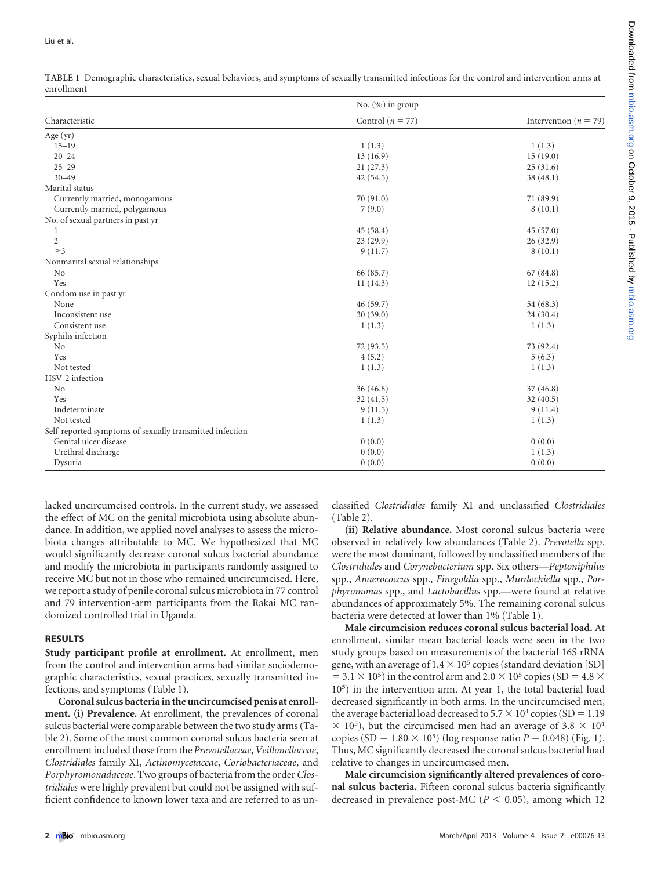<span id="page-1-0"></span>

| TABLE 1 Demographic characteristics, sexual behaviors, and symptoms of sexually transmitted infections for the control and intervention arms at |  |
|-------------------------------------------------------------------------------------------------------------------------------------------------|--|
| enrollment                                                                                                                                      |  |

|                                                          | No. $(\% )$ in group |                           |  |  |
|----------------------------------------------------------|----------------------|---------------------------|--|--|
| Characteristic                                           | Control ( $n = 77$ ) | Intervention ( $n = 79$ ) |  |  |
| Age (yr)                                                 |                      |                           |  |  |
| $15 - 19$                                                | 1(1.3)               | 1(1.3)                    |  |  |
| $20 - 24$                                                | 13(16.9)             | 15(19.0)                  |  |  |
| $25 - 29$                                                | 21(27.3)             | 25(31.6)                  |  |  |
| $30 - 49$                                                | 42(54.5)             | 38(48.1)                  |  |  |
| Marital status                                           |                      |                           |  |  |
| Currently married, monogamous                            | 70(91.0)             | 71 (89.9)                 |  |  |
| Currently married, polygamous                            | 7(9.0)               | 8(10.1)                   |  |  |
| No. of sexual partners in past yr                        |                      |                           |  |  |
| 1                                                        | 45(58.4)             | 45(57.0)                  |  |  |
| $\mathbf{2}$                                             | 23(29.9)             | 26(32.9)                  |  |  |
| $\geq$ 3                                                 | 9(11.7)              | 8(10.1)                   |  |  |
| Nonmarital sexual relationships                          |                      |                           |  |  |
| No                                                       | 66 (85.7)            | 67(84.8)                  |  |  |
| Yes                                                      | 11(14.3)             | 12(15.2)                  |  |  |
| Condom use in past yr                                    |                      |                           |  |  |
| None                                                     | 46(59.7)             | 54 (68.3)                 |  |  |
| Inconsistent use                                         | 30(39.0)             | 24 (30.4)                 |  |  |
| Consistent use                                           | 1(1.3)               | 1(1.3)                    |  |  |
| Syphilis infection                                       |                      |                           |  |  |
| No                                                       | 72 (93.5)            | 73 (92.4)                 |  |  |
| Yes                                                      | 4(5.2)               | 5(6.3)                    |  |  |
| Not tested                                               | 1(1.3)               | 1(1.3)                    |  |  |
| HSV-2 infection                                          |                      |                           |  |  |
| No                                                       | 36(46.8)             | 37(46.8)                  |  |  |
| Yes                                                      | 32(41.5)             | 32(40.5)                  |  |  |
| Indeterminate                                            | 9(11.5)              | 9(11.4)                   |  |  |
| Not tested                                               | 1(1.3)               | 1(1.3)                    |  |  |
| Self-reported symptoms of sexually transmitted infection |                      |                           |  |  |
| Genital ulcer disease                                    | 0(0.0)               | 0(0.0)                    |  |  |
| Urethral discharge                                       | 0(0.0)               | 1(1.3)                    |  |  |
| Dysuria                                                  | 0(0.0)               | 0(0.0)                    |  |  |

lacked uncircumcised controls. In the current study, we assessed the effect of MC on the genital microbiota using absolute abundance. In addition, we applied novel analyses to assess the microbiota changes attributable to MC. We hypothesized that MC would significantly decrease coronal sulcus bacterial abundance and modify the microbiota in participants randomly assigned to receive MC but not in those who remained uncircumcised. Here, we report a study of penile coronal sulcus microbiota in 77 control and 79 intervention-arm participants from the Rakai MC randomized controlled trial in Uganda.

# **RESULTS**

**Study participant profile at enrollment.** At enrollment, men from the control and intervention arms had similar sociodemographic characteristics, sexual practices, sexually transmitted infections, and symptoms [\(Table 1\)](#page-1-0).

**Coronal sulcus bacteria in the uncircumcised penis at enrollment. (i) Prevalence.** At enrollment, the prevalences of coronal sulcus bacterial were comparable between the two study arms [\(Ta](#page-2-0)[ble 2\)](#page-2-0). Some of the most common coronal sulcus bacteria seen at enrollment included those from the *Prevotellaceae*,*Veillonellaceae*, *Clostridiales* family XI, *Actinomycetaceae*, *Coriobacteriaceae*, and *Porphyromonadaceae*. Two groups of bacteria from the order*Clostridiales* were highly prevalent but could not be assigned with sufficient confidence to known lower taxa and are referred to as unclassified *Clostridiales* family XI and unclassified *Clostridiales* [\(Table 2\)](#page-2-0).

**(ii) Relative abundance.** Most coronal sulcus bacteria were observed in relatively low abundances [\(Table 2\)](#page-2-0). *Prevotella* spp. were the most dominant, followed by unclassified members of the *Clostridiales* and *Corynebacterium* spp. Six others—*Peptoniphilus* spp., *Anaerococcus* spp., *Finegoldia* spp., *Murdochiella* spp., *Porphyromonas* spp., and *Lactobacillus* spp.—were found at relative abundances of approximately 5%. The remaining coronal sulcus bacteria were detected at lower than 1% [\(Table 1\)](#page-1-0).

**Male circumcision reduces coronal sulcus bacterial load.** At enrollment, similar mean bacterial loads were seen in the two study groups based on measurements of the bacterial 16S rRNA gene, with an average of  $1.4 \times 10^5$  copies (standard deviation [SD]  $= 3.1 \times 10^5$ ) in the control arm and 2.0  $\times$  10<sup>5</sup> copies (SD = 4.8  $\times$ 105) in the intervention arm. At year 1, the total bacterial load decreased significantly in both arms. In the uncircumcised men, the average bacterial load decreased to  $5.7 \times 10^4$  copies (SD = 1.19)  $\times$  10<sup>5</sup>), but the circumcised men had an average of 3.8  $\times$  10<sup>4</sup> copies (SD =  $1.80 \times 10^5$ ) (log response ratio *P* = 0.048) [\(Fig. 1\)](#page-3-0). Thus, MC significantly decreased the coronal sulcus bacterial load relative to changes in uncircumcised men.

**Male circumcision significantly altered prevalences of coronal sulcus bacteria.** Fifteen coronal sulcus bacteria significantly decreased in prevalence post-MC ( $P < 0.05$ ), among which 12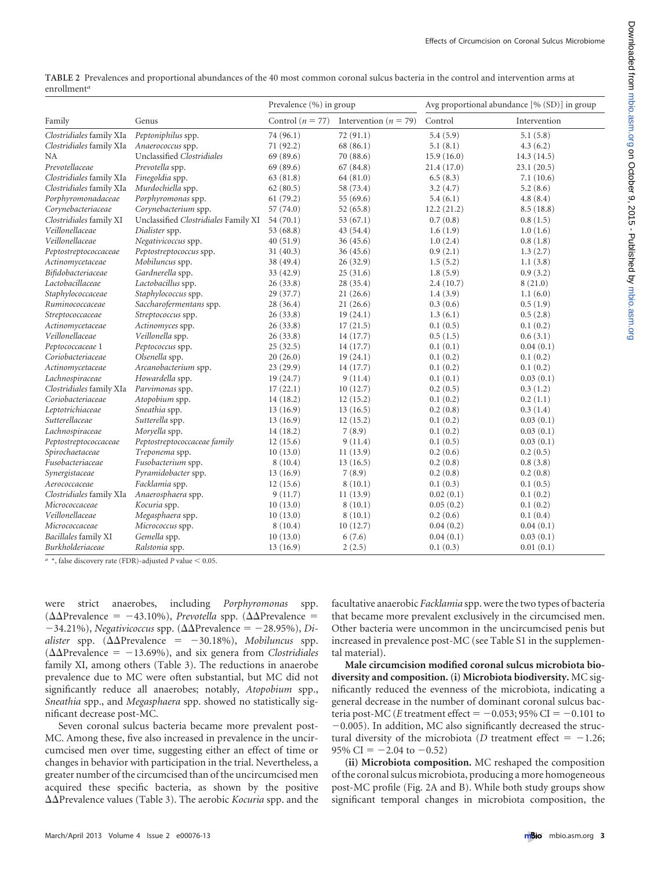<span id="page-2-0"></span>

| ТАРЕЕ 2 ТТСРАСНСО ана рторогионал абандансев от не чо нюж сонннон согонал заклада васила ни иссоционана нистренион атню ас<br>enrollment <sup>a</sup><br>Avg proportional abundance $[\% (SD)]$ in group<br>Prevalence $(\% )$ in group |                                             |           |                                                |            |              |
|-----------------------------------------------------------------------------------------------------------------------------------------------------------------------------------------------------------------------------------------|---------------------------------------------|-----------|------------------------------------------------|------------|--------------|
| Family                                                                                                                                                                                                                                  | Genus                                       |           | Control ( $n = 77$ ) Intervention ( $n = 79$ ) | Control    | Intervention |
|                                                                                                                                                                                                                                         | Clostridiales family XIa Peptoniphilus spp. | 74 (96.1) | 72(91.1)                                       | 5.4(5.9)   | 5.1(5.8)     |
|                                                                                                                                                                                                                                         | Clostridiales family XIa Anaerococcus spp.  | 71(92.2)  | 68(86.1)                                       | 5.1(8.1)   | 4.3(6.2)     |
| NA.                                                                                                                                                                                                                                     | Unclassified Clostridiales                  | 69(89.6)  | 70(88.6)                                       | 15.9(16.0) | 14.3(14.5)   |

**TABLE 2** Prevalences and proportional abundances of the 40 most common coronal sulcus bacteria in the control and intervention arms at

| Family                   | Genus                                | Control ( $n = 77$ ) | Intervention ( $n = 79$ ) | Control    | Intervention |
|--------------------------|--------------------------------------|----------------------|---------------------------|------------|--------------|
| Clostridiales family XIa | Peptoniphilus spp.                   | 74 (96.1)            | 72(91.1)                  | 5.4(5.9)   | 5.1(5.8)     |
| Clostridiales family XIa | Anaerococcus spp.                    | 71 (92.2)            | 68 (86.1)                 | 5.1(8.1)   | 4.3(6.2)     |
| <b>NA</b>                | Unclassified Clostridiales           | 69 (89.6)            | 70 (88.6)                 | 15.9(16.0) | 14.3(14.5)   |
| Prevotellaceae           | Prevotella spp.                      | 69 (89.6)            | 67(84.8)                  | 21.4(17.0) | 23.1(20.5)   |
| Clostridiales family XIa | Finegoldia spp.                      | 63 (81.8)            | 64 (81.0)                 | 6.5(8.3)   | 7.1(10.6)    |
| Clostridiales family XIa | Murdochiella spp.                    | 62(80.5)             | 58 (73.4)                 | 3.2(4.7)   | 5.2(8.6)     |
| Porphyromonadaceae       | Porphyromonas spp.                   | 61(79.2)             | 55 (69.6)                 | 5.4(6.1)   | 4.8(8.4)     |
| Corynebacteriaceae       | Corynebacterium spp.                 | 57 (74.0)            | 52(65.8)                  | 12.2(21.2) | 8.5(18.8)    |
| Clostridiales family XI  | Unclassified Clostridiales Family XI | 54(70.1)             | 53 $(67.1)$               | 0.7(0.8)   | 0.8(1.5)     |
| Veillonellaceae          | Dialister spp.                       | 53 (68.8)            | 43(54.4)                  | 1.6(1.9)   | 1.0(1.6)     |
| Veillonellaceae          | Negativicoccus spp.                  | 40(51.9)             | 36(45.6)                  | 1.0(2.4)   | 0.8(1.8)     |
| Peptostreptococcaceae    | Peptostreptococcus spp.              | 31(40.3)             | 36(45.6)                  | 0.9(2.1)   | 1.3(2.7)     |
| Actinomycetaceae         | Mobiluncus spp.                      | 38 (49.4)            | 26(32.9)                  | 1.5(5.2)   | 1.1(3.8)     |
| Bifidobacteriaceae       | Gardnerella spp.                     | 33(42.9)             | 25(31.6)                  | 1.8(5.9)   | 0.9(3.2)     |
| Lactobacillaceae         | Lactobacillus spp.                   | 26(33.8)             | 28(35.4)                  | 2.4(10.7)  | 8(21.0)      |
| Staphylococcaceae        | Staphylococcus spp.                  | 29(37.7)             | 21(26.6)                  | 1.4(3.9)   | 1.1(6.0)     |
| Ruminococcaceae          | Saccharofermentans spp.              | 28 (36.4)            | 21(26.6)                  | 0.3(0.6)   | 0.5(1.9)     |
| Streptococcaceae         | Streptococcus spp.                   | 26(33.8)             | 19(24.1)                  | 1.3(6.1)   | 0.5(2.8)     |
| Actinomycetaceae         | Actinomyces spp.                     | 26(33.8)             | 17(21.5)                  | 0.1(0.5)   | 0.1(0.2)     |
| Veillonellaceae          | Veillonella spp.                     | 26(33.8)             | 14(17.7)                  | 0.5(1.5)   | 0.6(3.1)     |
| Peptococcaceae 1         | Peptococcus spp.                     | 25(32.5)             | 14(17.7)                  | 0.1(0.1)   | 0.04(0.1)    |
| Coriobacteriaceae        | Olsenella spp.                       | 20(26.0)             | 19(24.1)                  | 0.1(0.2)   | 0.1(0.2)     |
| Actinomycetaceae         | Arcanobacterium spp.                 | 23(29.9)             | 14(17.7)                  | 0.1(0.2)   | 0.1(0.2)     |
| Lachnospiraceae          | Howardella spp.                      | 19(24.7)             | 9(11.4)                   | 0.1(0.1)   | 0.03(0.1)    |
| Clostridiales family XIa | Parvimonas spp.                      | 17(22.1)             | 10(12.7)                  | 0.2(0.5)   | 0.3(1.2)     |
| Coriobacteriaceae        | Atopobium spp.                       | 14(18.2)             | 12(15.2)                  | 0.1(0.2)   | 0.2(1.1)     |
| Leptotrichiaceae         | Sneathia spp.                        | 13(16.9)             | 13(16.5)                  | 0.2(0.8)   | 0.3(1.4)     |
| Sutterellaceae           | Sutterella spp.                      | 13(16.9)             | 12(15.2)                  | 0.1(0.2)   | 0.03(0.1)    |
| Lachnospiraceae          | Moryella spp.                        | 14(18.2)             | 7(8.9)                    | 0.1(0.2)   | 0.03(0.1)    |
| Peptostreptococcaceae    | Peptostreptococcaceae family         | 12(15.6)             | 9(11.4)                   | 0.1(0.5)   | 0.03(0.1)    |
| Spirochaetaceae          | Treponema spp.                       | 10(13.0)             | 11(13.9)                  | 0.2(0.6)   | 0.2(0.5)     |
| Fusobacteriaceae         | Fusobacterium spp.                   | 8(10.4)              | 13(16.5)                  | 0.2(0.8)   | 0.8(3.8)     |
| Synergistaceae           | Pyramidobacter spp.                  | 13(16.9)             | 7(8.9)                    | 0.2(0.8)   | 0.2(0.8)     |
| Aerococcaceae            | Facklamia spp.                       | 12(15.6)             | 8(10.1)                   | 0.1(0.3)   | 0.1(0.5)     |
| Clostridiales family XIa | Anaerosphaera spp.                   | 9(11.7)              | 11(13.9)                  | 0.02(0.1)  | 0.1(0.2)     |
| Micrococcaceae           | Kocuria spp.                         | 10(13.0)             | 8(10.1)                   | 0.05(0.2)  | 0.1(0.2)     |
| Veillonellaceae          | Megasphaera spp.                     | 10(13.0)             | 8(10.1)                   | 0.2(0.6)   | 0.1(0.4)     |
| Micrococcaceae           | Micrococcus spp.                     | 8(10.4)              | 10(12.7)                  | 0.04(0.2)  | 0.04(0.1)    |
| Bacillales family XI     | Gemella spp.                         | 10(13.0)             | 6(7.6)                    | 0.04(0.1)  | 0.03(0.1)    |
| Burkholderiaceae         | Ralstonia spp.                       | 13(16.9)             | 2(2.5)                    | 0.1(0.3)   | 0.01(0.1)    |

 $a *$ , false discovery rate (FDR)-adjusted *P* value  $< 0.05$ .

were strict anaerobes, including *Porphyromonas* spp.  $(\Delta \Delta P$ revalence = -43.10%), *Prevotella* spp. ( $\Delta \Delta P$ revalence =  $-34.21\%$ ), *Negativicoccus* spp. ( $\Delta\Delta$ Prevalence = -28.95%), *Di*alister spp. (ΔΔPrevalence = -30.18%), *Mobiluncus* spp.  $(\Delta \Delta P$ revalence = -13.69%), and six genera from *Clostridiales* family XI, among others [\(Table 3\)](#page-4-0). The reductions in anaerobe prevalence due to MC were often substantial, but MC did not significantly reduce all anaerobes; notably, *Atopobium* spp., *Sneathia* spp., and *Megasphaera* spp. showed no statistically significant decrease post-MC.

Seven coronal sulcus bacteria became more prevalent post-MC. Among these, five also increased in prevalence in the uncircumcised men over time, suggesting either an effect of time or changes in behavior with participation in the trial. Nevertheless, a greater number of the circumcised than of the uncircumcised men acquired these specific bacteria, as shown by the positive  $\Delta\Delta$ Prevalence values [\(Table 3\)](#page-4-0). The aerobic *Kocuria* spp. and the facultative anaerobic *Facklamia* spp. were the two types of bacteria that became more prevalent exclusively in the circumcised men. Other bacteria were uncommon in the uncircumcised penis but increased in prevalence post-MC (see Table S1 in the supplemental material).

**Male circumcision modified coronal sulcus microbiota biodiversity and composition. (i) Microbiota biodiversity.** MC significantly reduced the evenness of the microbiota, indicating a general decrease in the number of dominant coronal sulcus bacteria post-MC (*E* treatment effect =  $-0.053$ ; 95% CI =  $-0.101$  to  $-0.005$ ). In addition, MC also significantly decreased the structural diversity of the microbiota (*D* treatment effect  $=$  -1.26; 95% CI =  $-2.04$  to  $-0.52$ )

**(ii) Microbiota composition.** MC reshaped the composition of the coronal sulcus microbiota, producing a more homogeneous post-MC profile [\(Fig. 2A and B\)](#page-5-0). While both study groups show significant temporal changes in microbiota composition, the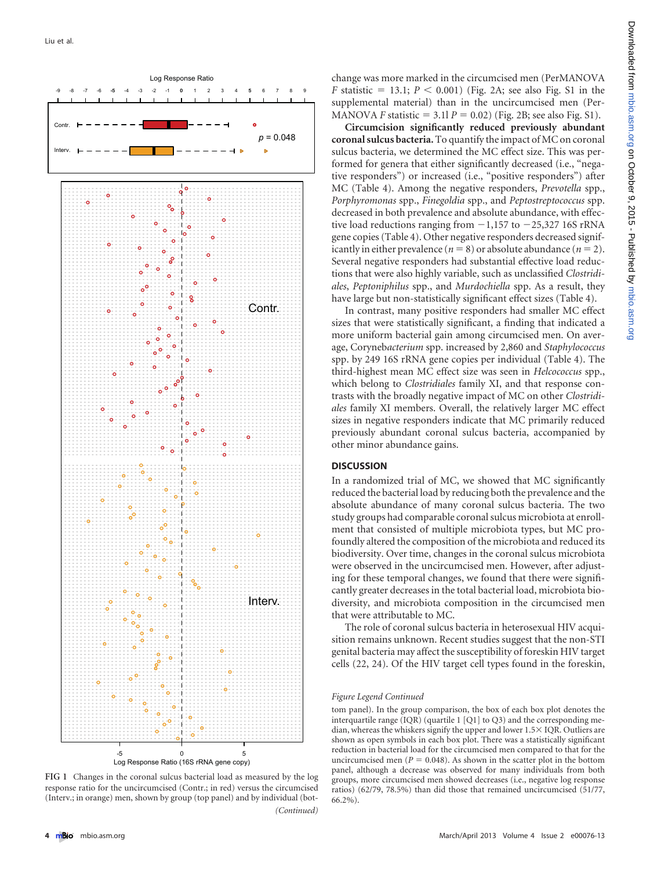

<span id="page-3-0"></span>**FIG 1** Changes in the coronal sulcus bacterial load as measured by the log response ratio for the uncircumcised (Contr.; in red) versus the circumcised (Interv.; in orange) men, shown by group (top panel) and by individual (bot- *(Continued)*

change was more marked in the circumcised men (PerMANOVA  $F$  statistic = 13.1;  $P < 0.001$ ) [\(Fig. 2A;](#page-5-0) see also Fig. S1 in the supplemental material) than in the uncircumcised men (Per-MANOVA *F* statistic =  $3.11 P = 0.02$ ) [\(Fig. 2B;](#page-5-0) see also Fig. S1).

**Circumcision significantly reduced previously abundant coronal sulcus bacteria.** To quantify the impact of MC on coronal sulcus bacteria, we determined the MC effect size. This was performed for genera that either significantly decreased (i.e., "negative responders") or increased (i.e., "positive responders") after MC [\(Table 4\)](#page-6-0). Among the negative responders, *Prevotella* spp., *Porphyromonas* spp., *Finegoldia* spp., and *Peptostreptococcus* spp. decreased in both prevalence and absolute abundance, with effective load reductions ranging from  $-1,157$  to  $-25,327$  16S rRNA gene copies [\(Table 4\)](#page-6-0). Other negative responders decreased significantly in either prevalence ( $n = 8$ ) or absolute abundance ( $n = 2$ ). Several negative responders had substantial effective load reductions that were also highly variable, such as unclassified *Clostridiales*, *Peptoniphilus* spp., and *Murdochiella* spp. As a result, they have large but non-statistically significant effect sizes [\(Table 4\)](#page-6-0).

In contrast, many positive responders had smaller MC effect sizes that were statistically significant, a finding that indicated a more uniform bacterial gain among circumcised men. On average, Coryneb*acterium* spp. increased by 2,860 and *Staphylococcus* spp. by 249 16S rRNA gene copies per individual [\(Table 4\)](#page-6-0). The third-highest mean MC effect size was seen in *Helcococcus* spp., which belong to *Clostridiales* family XI, and that response contrasts with the broadly negative impact of MC on other *Clostridiales* family XI members. Overall, the relatively larger MC effect sizes in negative responders indicate that MC primarily reduced previously abundant coronal sulcus bacteria, accompanied by other minor abundance gains.

## **DISCUSSION**

In a randomized trial of MC, we showed that MC significantly reduced the bacterial load by reducing both the prevalence and the absolute abundance of many coronal sulcus bacteria. The two study groups had comparable coronal sulcus microbiota at enrollment that consisted of multiple microbiota types, but MC profoundly altered the composition of the microbiota and reduced its biodiversity. Over time, changes in the coronal sulcus microbiota were observed in the uncircumcised men. However, after adjusting for these temporal changes, we found that there were significantly greater decreases in the total bacterial load, microbiota biodiversity, and microbiota composition in the circumcised men that were attributable to MC.

The role of coronal sulcus bacteria in heterosexual HIV acquisition remains unknown. Recent studies suggest that the non-STI genital bacteria may affect the susceptibility of foreskin HIV target cells [\(22,](#page-8-0) [24\)](#page-8-2). Of the HIV target cell types found in the foreskin,

#### *Figure Legend Continued*

tom panel). In the group comparison, the box of each box plot denotes the interquartile range (IQR) (quartile 1 [Q1] to Q3) and the corresponding median, whereas the whiskers signify the upper and lower 1.5 × IQR. Outliers are shown as open symbols in each box plot. There was a statistically significant reduction in bacterial load for the circumcised men compared to that for the uncircumcised men  $(P = 0.048)$ . As shown in the scatter plot in the bottom panel, although a decrease was observed for many individuals from both groups, more circumcised men showed decreases (i.e., negative log response ratios) (62/79, 78.5%) than did those that remained uncircumcised (51/77, 66.2%).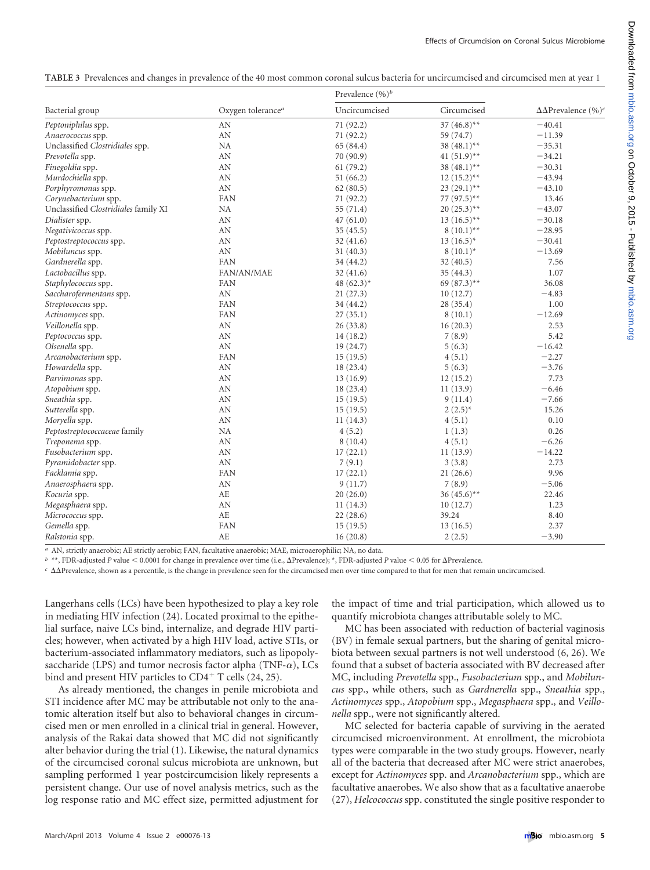<span id="page-4-0"></span>**TABLE 3** Prevalences and changes in prevalence of the 40 most common coronal sulcus bacteria for uncircumcised and circumcised men at year 1

|                                      | Oxygen tolerance <sup>a</sup> | Prevalence $(\%)^b$ |                           |                                            |
|--------------------------------------|-------------------------------|---------------------|---------------------------|--------------------------------------------|
| Bacterial group                      |                               | Uncircumcised       | Circumcised               | $\Delta\Delta$ Prevalence (%) <sup>c</sup> |
| Peptoniphilus spp.                   | AN                            | 71 (92.2)           | 37 $(46.8)$ **            | $-40.41$                                   |
| Anaerococcus spp.                    | AN                            | 71 (92.2)           | 59 (74.7)                 | $-11.39$                                   |
| Unclassified Clostridiales spp.      | NA                            | 65 (84.4)           | 38 $(48.1)$ **            | $-35.31$                                   |
| Prevotella spp.                      | AN                            | 70 (90.9)           | 41 $(51.9)$ <sup>**</sup> | $-34.21$                                   |
| Finegoldia spp.                      | AN                            | 61(79.2)            | 38 $(48.1)$ **            | $-30.31$                                   |
| Murdochiella spp.                    | AN                            | 51(66.2)            | $12(15.2)$ <sup>**</sup>  | $-43.94$                                   |
| Porphyromonas spp.                   | AN                            | 62(80.5)            | $23(29.1)$ **             | $-43.10$                                   |
| Corynebacterium spp.                 | FAN                           | 71 (92.2)           | 77 (97.5)**               | 13.46                                      |
| Unclassified Clostridiales family XI | <b>NA</b>                     | 55 (71.4)           | $20(25.3)$ **             | $-43.07$                                   |
| Dialister spp.                       | AN                            | 47(61.0)            | $13(16.5)$ <sup>**</sup>  | $-30.18$                                   |
| Negativicoccus spp.                  | AN                            | 35(45.5)            | $8(10.1)$ <sup>**</sup>   | $-28.95$                                   |
| Peptostreptococcus spp.              | AN                            | 32(41.6)            | $13(16.5)^*$              | $-30.41$                                   |
| Mobiluncus spp.                      | $\mbox{AN}$                   | 31(40.3)            | $8(10.1)^*$               | $-13.69$                                   |
| Gardnerella spp.                     | FAN                           | 34 (44.2)           | 32(40.5)                  | 7.56                                       |
| Lactobacillus spp.                   | FAN/AN/MAE                    | 32(41.6)            | 35 (44.3)                 | 1.07                                       |
| Staphylococcus spp.                  | FAN                           | 48 $(62.3)^*$       | 69 $(87.3)$ **            | 36.08                                      |
| Saccharofermentans spp.              | AN                            | 21(27.3)            | 10(12.7)                  | $-4.83$                                    |
| Streptococcus spp.                   | FAN                           | 34 (44.2)           | 28(35.4)                  | 1.00                                       |
| Actinomyces spp.                     | FAN                           | 27(35.1)            | 8(10.1)                   | $-12.69$                                   |
| Veillonella spp.                     | $\mbox{AN}$                   | 26(33.8)            | 16(20.3)                  | 2.53                                       |
| Peptococcus spp.                     | AN                            | 14(18.2)            | 7(8.9)                    | 5.42                                       |
| Olsenella spp.                       | AN                            | 19 (24.7)           | 5(6.3)                    | $-16.42$                                   |
| Arcanobacterium spp.                 | FAN                           | 15(19.5)            | 4(5.1)                    | $-2.27$                                    |
| Howardella spp.                      | $\mbox{AN}$                   | 18 (23.4)           | 5(6.3)                    | $-3.76$                                    |
| Parvimonas spp.                      | AN                            | 13(16.9)            | 12(15.2)                  | 7.73                                       |
| Atopobium spp.                       | AN                            | 18 (23.4)           | 11(13.9)                  | $-6.46$                                    |
| Sneathia spp.                        | AN                            | 15(19.5)            | 9(11.4)                   | $-7.66$                                    |
| Sutterella spp.                      | AN                            | 15(19.5)            | $2(2.5)^{*}$              | 15.26                                      |
| Moryella spp.                        | AN                            | 11(14.3)            | 4(5.1)                    | 0.10                                       |
| Peptostreptococcaceae family         | <b>NA</b>                     | 4(5.2)              | 1(1.3)                    | 0.26                                       |
| Treponema spp.                       | AN                            | 8(10.4)             | 4(5.1)                    | $-6.26$                                    |
| Fusobacterium spp.                   | $\mathbf{A}\mathbf{N}$        | 17(22.1)            | 11(13.9)                  | $-14.22$                                   |
| Pyramidobacter spp.                  | AN                            | 7(9.1)              | 3(3.8)                    | 2.73                                       |
| Facklamia spp.                       | FAN                           | 17(22.1)            | 21(26.6)                  | 9.96                                       |
| Anaerosphaera spp.                   | AN                            | 9(11.7)             | 7(8.9)                    | $-5.06$                                    |
| Kocuria spp.                         | AE                            | 20(26.0)            | $36(45.6)$ **             | 22.46                                      |
| Megasphaera spp.                     | AN                            | 11(14.3)            | 10(12.7)                  | 1.23                                       |
| Micrococcus spp.                     | AE                            | 22(28.6)            | 39.24                     | 8.40                                       |
| Gemella spp.                         | FAN                           | 15(19.5)            | 13 (16.5)                 | 2.37                                       |
| Ralstonia spp.                       | AE                            | 16(20.8)            | 2(2.5)                    | $-3.90$                                    |

*a* AN, strictly anaerobic; AE strictly aerobic; FAN, facultative anaerobic; MAE, microaerophilic; NA, no data.

*b* \*\*, FDR-adjusted *P* value < 0.0001 for change in prevalence over time (i.e.,  $\Delta$ Prevalence); \*, FDR-adjusted *P* value < 0.05 for  $\Delta$ Prevalence.

<sup>*c*</sup> ΔΔPrevalence, shown as a percentile, is the change in prevalence seen for the circumcised men over time compared to that for men that remain uncircumcised.

Langerhans cells (LCs) have been hypothesized to play a key role in mediating HIV infection [\(24\)](#page-8-2). Located proximal to the epithelial surface, naive LCs bind, internalize, and degrade HIV particles; however, when activated by a high HIV load, active STIs, or bacterium-associated inflammatory mediators, such as lipopolysaccharide (LPS) and tumor necrosis factor alpha (TNF- $\alpha$ ), LCs bind and present HIV particles to  $CD4^+$  T cells [\(24,](#page-8-2) [25\)](#page-8-3).

As already mentioned, the changes in penile microbiota and STI incidence after MC may be attributable not only to the anatomic alteration itself but also to behavioral changes in circumcised men or men enrolled in a clinical trial in general. However, analysis of the Rakai data showed that MC did not significantly alter behavior during the trial [\(1\)](#page-7-0). Likewise, the natural dynamics of the circumcised coronal sulcus microbiota are unknown, but sampling performed 1 year postcircumcision likely represents a persistent change. Our use of novel analysis metrics, such as the log response ratio and MC effect size, permitted adjustment for

the impact of time and trial participation, which allowed us to quantify microbiota changes attributable solely to MC.

MC has been associated with reduction of bacterial vaginosis (BV) in female sexual partners, but the sharing of genital microbiota between sexual partners is not well understood [\(6,](#page-7-5) [26\)](#page-8-4). We found that a subset of bacteria associated with BV decreased after MC, including *Prevotella* spp., *Fusobacterium* spp., and *Mobiluncus* spp., while others, such as *Gardnerella* spp., *Sneathia* spp., *Actinomyces* spp., *Atopobium* spp., *Megasphaera* spp., and *Veillonella* spp., were not significantly altered.

MC selected for bacteria capable of surviving in the aerated circumcised microenvironment. At enrollment, the microbiota types were comparable in the two study groups. However, nearly all of the bacteria that decreased after MC were strict anaerobes, except for *Actinomyces* spp. and *Arcanobacterium* spp., which are facultative anaerobes. We also show that as a facultative anaerobe [\(27\)](#page-8-5), *Helcococcus* spp. constituted the single positive responder to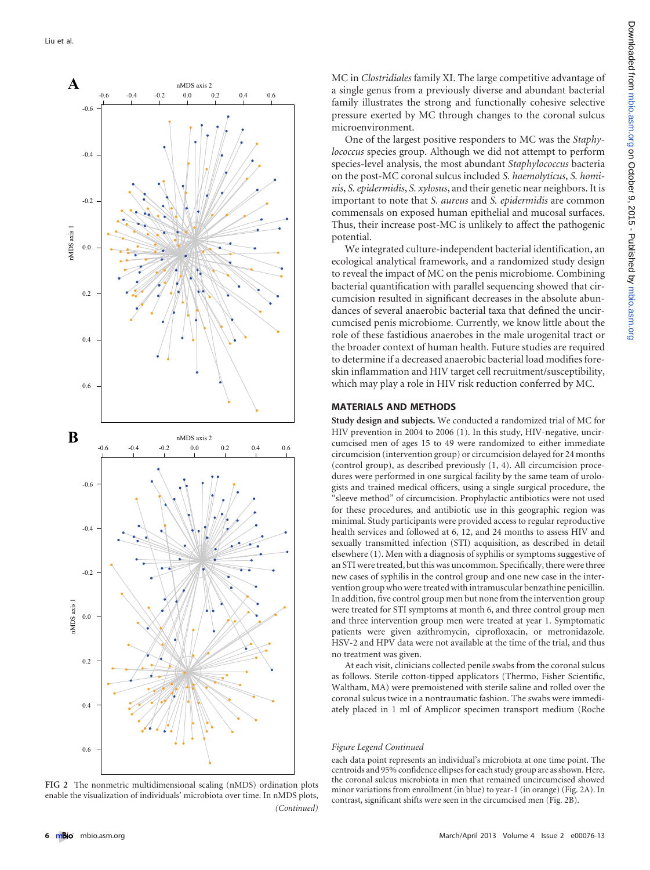

<span id="page-5-0"></span>**FIG 2** The nonmetric multidimensional scaling (nMDS) ordination plots enable the visualization of individuals' microbiota over time. In nMDS plots, *(Continued)*

MC in *Clostridiales* family XI. The large competitive advantage of a single genus from a previously diverse and abundant bacterial family illustrates the strong and functionally cohesive selective pressure exerted by MC through changes to the coronal sulcus microenvironment.

One of the largest positive responders to MC was the *Staphylococcus* species group. Although we did not attempt to perform species-level analysis, the most abundant *Staphylococcus* bacteria on the post-MC coronal sulcus included *S. haemolyticus*, *S. hominis*, *S. epidermidis*, *S. xylosus*, and their genetic near neighbors. It is important to note that *S. aureus* and *S. epidermidis* are common commensals on exposed human epithelial and mucosal surfaces. Thus, their increase post-MC is unlikely to affect the pathogenic potential.

We integrated culture-independent bacterial identification, an ecological analytical framework, and a randomized study design to reveal the impact of MC on the penis microbiome. Combining bacterial quantification with parallel sequencing showed that circumcision resulted in significant decreases in the absolute abundances of several anaerobic bacterial taxa that defined the uncircumcised penis microbiome. Currently, we know little about the role of these fastidious anaerobes in the male urogenital tract or the broader context of human health. Future studies are required to determine if a decreased anaerobic bacterial load modifies foreskin inflammation and HIV target cell recruitment/susceptibility, which may play a role in HIV risk reduction conferred by MC.

## **MATERIALS AND METHODS**

**Study design and subjects.** We conducted a randomized trial of MC for HIV prevention in 2004 to 2006 [\(1\)](#page-7-0). In this study, HIV-negative, uncircumcised men of ages 15 to 49 were randomized to either immediate circumcision (intervention group) or circumcision delayed for 24 months (control group), as described previously [\(1,](#page-7-0) [4\)](#page-7-3). All circumcision procedures were performed in one surgical facility by the same team of urologists and trained medical officers, using a single surgical procedure, the 'sleeve method" of circumcision. Prophylactic antibiotics were not used for these procedures, and antibiotic use in this geographic region was minimal. Study participants were provided access to regular reproductive health services and followed at 6, 12, and 24 months to assess HIV and sexually transmitted infection (STI) acquisition, as described in detail elsewhere [\(1\)](#page-7-0). Men with a diagnosis of syphilis or symptoms suggestive of an STI were treated, but this was uncommon. Specifically, there were three new cases of syphilis in the control group and one new case in the intervention group who were treated with intramuscular benzathine penicillin. In addition, five control group men but none from the intervention group were treated for STI symptoms at month 6, and three control group men and three intervention group men were treated at year 1. Symptomatic patients were given azithromycin, ciprofloxacin, or metronidazole. HSV-2 and HPV data were not available at the time of the trial, and thus no treatment was given.

At each visit, clinicians collected penile swabs from the coronal sulcus as follows. Sterile cotton-tipped applicators (Thermo, Fisher Scientific, Waltham, MA) were premoistened with sterile saline and rolled over the coronal sulcus twice in a nontraumatic fashion. The swabs were immediately placed in 1 ml of Amplicor specimen transport medium (Roche

#### *Figure Legend Continued*

each data point represents an individual's microbiota at one time point. The centroids and 95% confidence ellipses for each study group are as shown. Here, the coronal sulcus microbiota in men that remained uncircumcised showed minor variations from enrollment (in blue) to year-1 (in orange) [\(Fig. 2A\)](#page-5-0). In contrast, significant shifts were seen in the circumcised men [\(Fig. 2B\)](#page-5-0).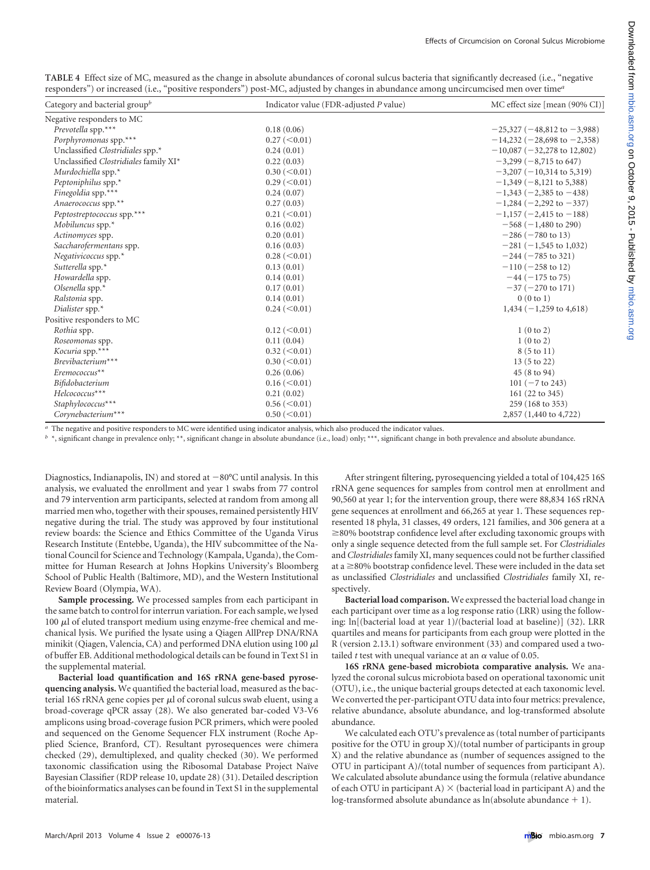<span id="page-6-0"></span>**TABLE 4** Effect size of MC, measured as the change in absolute abundances of coronal sulcus bacteria that significantly decreased (i.e., "negative responders") or increased (i.e., "positive responders") post-MC, adjusted by changes in abundance among uncircumcised men over time*<sup>a</sup>*

| Category and bacterial group $^b$     | Indicator value (FDR-adjusted P value) | MC effect size [mean (90% CI)]      |
|---------------------------------------|----------------------------------------|-------------------------------------|
| Negative responders to MC             |                                        |                                     |
| Prevotella spp.***                    | 0.18(0.06)                             | $-25,327$ ( $-48,812$ to $-3,988$ ) |
| Porphyromonas spp.***                 | $0.27 \, (< 0.01)$                     | $-14,232 (-28,698 to -2,358)$       |
| Unclassified Clostridiales spp.*      | 0.24(0.01)                             | $-10,087$ ( $-32,278$ to 12,802)    |
| Unclassified Clostridiales family XI* | 0.22(0.03)                             | $-3,299(-8,715 \text{ to } 647)$    |
| Murdochiella spp.*                    | $0.30 \, (< 0.01)$                     | $-3,207$ ( $-10,314$ to 5,319)      |
| Peptoniphilus spp.*                   | $0.29 \, (< 0.01)$                     | $-1,349(-8,121 \text{ to } 5,388)$  |
| Finegoldia spp.***                    | 0.24(0.07)                             | $-1,343(-2,385)$ to $-438$ )        |
| Anaerococcus spp.**                   | 0.27(0.03)                             | $-1,284 (-2,292 \text{ to } -337)$  |
| Peptostreptococcus spp.***            | $0.21 \, (< 0.01)$                     | $-1,157$ (-2,415 to -188)           |
| Mobiluncus spp.*                      | 0.16(0.02)                             | $-568$ ( $-1,480$ to 290)           |
| Actinomyces spp.                      | 0.20(0.01)                             | $-286 (-780 \text{ to } 13)$        |
| Saccharofermentans spp.               | 0.16(0.03)                             | $-281 (-1,545 \text{ to } 1,032)$   |
| Negativicoccus spp. $*$               | $0.28 \, (< 0.01)$                     | $-244 (-785 \text{ to } 321)$       |
| Sutterella spp.*                      | 0.13(0.01)                             | $-110 (-258 to 12)$                 |
| Howardella spp.                       | 0.14(0.01)                             | $-44$ ( $-175$ to 75)               |
| Olsenella spp.*                       | 0.17(0.01)                             | $-37$ ( $-270$ to 171)              |
| Ralstonia spp.                        | 0.14(0.01)                             | 0(0 to 1)                           |
| Dialister spp. $*$                    | $0.24 \, (< 0.01)$                     | $1,434 (-1,259)$ to 4,618)          |
| Positive responders to MC             |                                        |                                     |
| Rothia spp.                           | $0.12 \, (< 0.01)$                     | 1(0 to 2)                           |
| Roseomonas spp.                       | 0.11(0.04)                             | 1(0 to 2)                           |
| Kocuria spp.***                       | $0.32 \, (< 0.01)$                     | 8 (5 to 11)                         |
| Brevibacterium***                     | $0.30 \, (< 0.01)$                     | $13(5 \text{ to } 22)$              |
| Eremococcus <sup>**</sup>             | 0.26(0.06)                             | 45 (8 to 94)                        |
| Bifidobacterium                       | $0.16 \, (< 0.01)$                     | $101 (-7 to 243)$                   |
| Helcococcus***                        | 0.21(0.02)                             | 161 (22 to 345)                     |
| Staphylococcus***                     | $0.56 \, (<0.01)$                      | 259 (168 to 353)                    |
| Corynebacterium***                    | $0.50 \, (< 0.01)$                     | 2,857 (1,440 to 4,722)              |

*a* The negative and positive responders to MC were identified using indicator analysis, which also produced the indicator values.

*b* \*, significant change in prevalence only; \*\*, significant change in absolute abundance (i.e., load) only; \*\*\*, significant change in both prevalence and absolute abundance.

Diagnostics, Indianapolis, IN) and stored at  $-80^{\circ}$ C until analysis. In this analysis, we evaluated the enrollment and year 1 swabs from 77 control and 79 intervention arm participants, selected at random from among all married men who, together with their spouses, remained persistently HIV negative during the trial. The study was approved by four institutional review boards: the Science and Ethics Committee of the Uganda Virus Research Institute (Entebbe, Uganda), the HIV subcommittee of the National Council for Science and Technology (Kampala, Uganda), the Committee for Human Research at Johns Hopkins University's Bloomberg School of Public Health (Baltimore, MD), and the Western Institutional Review Board (Olympia, WA).

**Sample processing.** We processed samples from each participant in the same batch to control for interrun variation. For each sample, we lysed 100  $\mu$ l of eluted transport medium using enzyme-free chemical and mechanical lysis. We purified the lysate using a Qiagen AllPrep DNA/RNA minikit (Qiagen, Valencia, CA) and performed DNA elution using 100  $\mu$ l of buffer EB. Additional methodological details can be found in Text S1 in the supplemental material.

**Bacterial load quantification and 16S rRNA gene-based pyrosequencing analysis.** We quantified the bacterial load, measured as the bacterial 16S rRNA gene copies per  $\mu$ l of coronal sulcus swab eluent, using a broad-coverage qPCR assay [\(28\)](#page-8-6). We also generated bar-coded V3-V6 amplicons using broad-coverage fusion PCR primers, which were pooled and sequenced on the Genome Sequencer FLX instrument (Roche Applied Science, Branford, CT). Resultant pyrosequences were chimera checked [\(29\)](#page-8-7), demultiplexed, and quality checked [\(30\)](#page-8-8). We performed taxonomic classification using the Ribosomal Database Project Naïve Bayesian Classifier (RDP release 10, update 28) [\(31\)](#page-8-9). Detailed description of the bioinformatics analyses can be found in Text S1 in the supplemental material.

After stringent filtering, pyrosequencing yielded a total of 104,425 16S rRNA gene sequences for samples from control men at enrollment and 90,560 at year 1; for the intervention group, there were 88,834 16S rRNA gene sequences at enrollment and 66,265 at year 1. These sequences represented 18 phyla, 31 classes, 49 orders, 121 families, and 306 genera at a  $\geq$ 80% bootstrap confidence level after excluding taxonomic groups with only a single sequence detected from the full sample set. For *Clostridiales* and *Clostridiales* family XI, many sequences could not be further classified at a  $\geq$ 80% bootstrap confidence level. These were included in the data set as unclassified *Clostridiales* and unclassified *Clostridiales* family XI, respectively.

**Bacterial load comparison.** We expressed the bacterial load change in each participant over time as a log response ratio (LRR) using the following: ln[(bacterial load at year 1)/(bacterial load at baseline)] [\(32\)](#page-8-10). LRR quartiles and means for participants from each group were plotted in the R (version 2.13.1) software environment [\(33\)](#page-8-11) and compared used a twotailed  $t$  test with unequal variance at an  $\alpha$  value of 0.05.

**16S rRNA gene-based microbiota comparative analysis.** We analyzed the coronal sulcus microbiota based on operational taxonomic unit (OTU), i.e., the unique bacterial groups detected at each taxonomic level. We converted the per-participant OTU data into four metrics: prevalence, relative abundance, absolute abundance, and log-transformed absolute abundance.

We calculated each OTU's prevalence as (total number of participants positive for the OTU in group X)/(total number of participants in group X) and the relative abundance as (number of sequences assigned to the OTU in participant A)/(total number of sequences from participant A). We calculated absolute abundance using the formula (relative abundance of each OTU in participant A)  $\times$  (bacterial load in participant A) and the log-transformed absolute abundance as  $ln(absoluteabundance + 1)$ .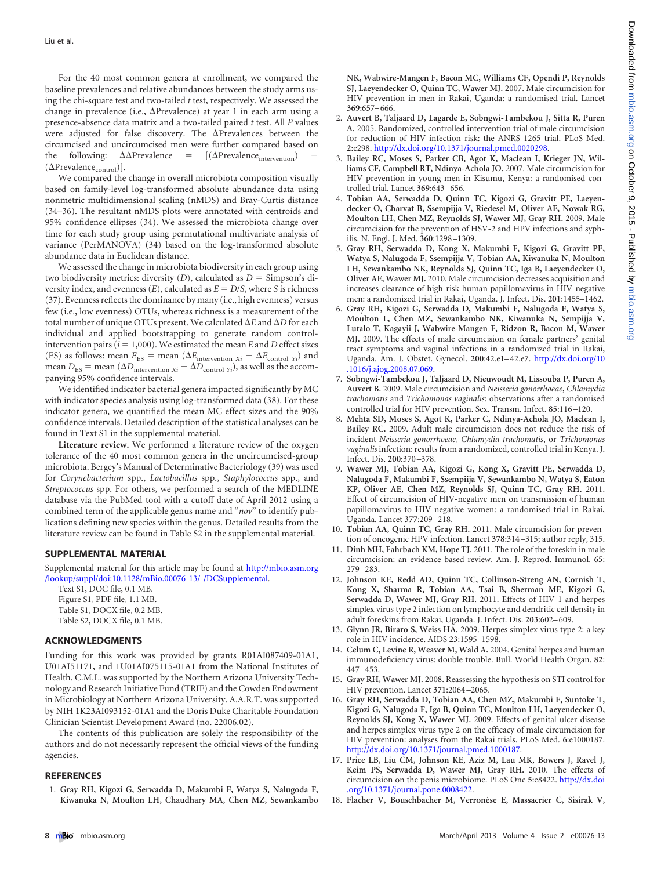For the 40 most common genera at enrollment, we compared the baseline prevalences and relative abundances between the study arms using the chi-square test and two-tailed *t* test, respectively. We assessed the change in prevalence (i.e.,  $\Delta$ Prevalence) at year 1 in each arm using a presence-absence data matrix and a two-tailed paired *t* test. All *P* values were adjusted for false discovery. The  $\Delta$ Prevalences between the circumcised and uncircumcised men were further compared based on the following:  $\Delta \Delta$ Prevalence =  $[(\Delta$ Prevalence<sub>intervention</sub>) –  $(\Delta \mathrm{Prevalence}_{\mathrm{control}})].$ 

We compared the change in overall microbiota composition visually based on family-level log-transformed absolute abundance data using nonmetric multidimensional scaling (nMDS) and Bray-Curtis distance [\(34](#page-8-12)[–](#page-8-13)[36\)](#page-8-14). The resultant nMDS plots were annotated with centroids and 95% confidence ellipses [\(34\)](#page-8-12). We assessed the microbiota change over time for each study group using permutational multivariate analysis of variance (PerMANOVA) [\(34\)](#page-8-12) based on the log-transformed absolute abundance data in Euclidean distance.

We assessed the change in microbiota biodiversity in each group using two biodiversity metrics: diversity  $(D)$ , calculated as  $D =$  Simpson's diversity index, and evenness  $(E)$ , calculated as  $E = D/S$ , where *S* is richness [\(37\)](#page-8-15). Evenness reflects the dominance by many (i.e., high evenness) versus few (i.e., low evenness) OTUs, whereas richness is a measurement of the total number of unique OTUs present. We calculated  $\Delta E$  and  $\Delta D$  for each individual and applied bootstrapping to generate random controlintervention pairs ( $i = 1,000$ ). We estimated the mean  $E$  and  $D$  effect sizes (ES) as follows: mean  $E_{ES}$  = mean ( $\Delta E_{\text{intervention }Xi}$  –  $\Delta E_{\text{control }Yi}$ ) and mean  $D_{ES}$  = mean ( $\Delta D_{\text{intervention }Xi} - \Delta D_{\text{control }Yi}$ ), as well as the accompanying 95% confidence intervals.

We identified indicator bacterial genera impacted significantly by MC with indicator species analysis using log-transformed data [\(38\)](#page-8-16). For these indicator genera, we quantified the mean MC effect sizes and the 90% confidence intervals. Detailed description of the statistical analyses can be found in Text S1 in the supplemental material.

**Literature review.** We performed a literature review of the oxygen tolerance of the 40 most common genera in the uncircumcised-group microbiota. Bergey's Manual of Determinative Bacteriology [\(39\)](#page-8-17) was used for *Corynebacterium* spp., *Lactobacillus* spp., *Staphylococcus* spp., and *Streptococcus* spp. For others, we performed a search of the MEDLINE database via the PubMed tool with a cutoff date of April 2012 using a combined term of the applicable genus name and "*nov*" to identify publications defining new species within the genus. Detailed results from the literature review can be found in Table S2 in the supplemental material.

#### **SUPPLEMENTAL MATERIAL**

Supplemental material for this article may be found at [http://mbio.asm.org](http://mbio.asm.org/lookup/suppl/doi:10.1128/mBio.00076-13/-/DCSupplemental) [/lookup/suppl/doi:10.1128/mBio.00076-13/-/DCSupplemental.](http://mbio.asm.org/lookup/suppl/doi:10.1128/mBio.00076-13/-/DCSupplemental)

Text S1, DOC file, 0.1 MB. Figure S1, PDF file, 1.1 MB. Table S1, DOCX file, 0.2 MB. Table S2, DOCX file, 0.1 MB.

## **ACKNOWLEDGMENTS**

Funding for this work was provided by grants R01AI087409-01A1, U01AI51171, and 1U01AI075115-01A1 from the National Institutes of Health. C.M.L. was supported by the Northern Arizona University Technology and Research Initiative Fund (TRIF) and the Cowden Endowment in Microbiology at Northern Arizona University. A.A.R.T. was supported by NIH 1K23AI093152-01A1 and the Doris Duke Charitable Foundation Clinician Scientist Development Award (no. 22006.02).

The contents of this publication are solely the responsibility of the authors and do not necessarily represent the official views of the funding agencies.

### <span id="page-7-0"></span>**REFERENCES**

1. **Gray RH, Kigozi G, Serwadda D, Makumbi F, Watya S, Nalugoda F, Kiwanuka N, Moulton LH, Chaudhary MA, Chen MZ, Sewankambo**

**NK, Wabwire-Mangen F, Bacon MC, Williams CF, Opendi P, Reynolds SJ, Laeyendecker O, Quinn TC, Wawer MJ.** 2007. Male circumcision for HIV prevention in men in Rakai, Uganda: a randomised trial. Lancet **369**:657– 666.

- <span id="page-7-1"></span>2. **Auvert B, Taljaard D, Lagarde E, Sobngwi-Tambekou J, Sitta R, Puren A.** 2005. Randomized, controlled intervention trial of male circumcision for reduction of HIV infection risk: the ANRS 1265 trial. PLoS Med. **2**:e298. [http://dx.doi.org/10.1371/journal.pmed.0020298.](http://dx.doi.org/10.1371/journal.pmed.0020298)
- <span id="page-7-2"></span>3. **Bailey RC, Moses S, Parker CB, Agot K, Maclean I, Krieger JN, Williams CF, Campbell RT, Ndinya-Achola JO.** 2007. Male circumcision for HIV prevention in young men in Kisumu, Kenya: a randomised controlled trial. Lancet **369**:643– 656.
- <span id="page-7-3"></span>4. **Tobian AA, Serwadda D, Quinn TC, Kigozi G, Gravitt PE, Laeyendecker O, Charvat B, Ssempijja V, Riedesel M, Oliver AE, Nowak RG, Moulton LH, Chen MZ, Reynolds SJ, Wawer MJ, Gray RH.** 2009. Male circumcision for the prevention of HSV-2 and HPV infections and syphilis. N. Engl. J. Med. **360**:1298 –1309.
- <span id="page-7-4"></span>5. **Gray RH, Serwadda D, Kong X, Makumbi F, Kigozi G, Gravitt PE, Watya S, Nalugoda F, Ssempijja V, Tobian AA, Kiwanuka N, Moulton LH, Sewankambo NK, Reynolds SJ, Quinn TC, Iga B, Laeyendecker O, Oliver AE, Wawer MJ.** 2010. Male circumcision decreases acquisition and increases clearance of high-risk human papillomavirus in HIV-negative men: a randomized trial in Rakai, Uganda. J. Infect. Dis. **201**:1455–1462.
- <span id="page-7-5"></span>6. **Gray RH, Kigozi G, Serwadda D, Makumbi F, Nalugoda F, Watya S, Moulton L, Chen MZ, Sewankambo NK, Kiwanuka N, Sempijja V, Lutalo T, Kagayii J, Wabwire-Mangen F, Ridzon R, Bacon M, Wawer MJ.** 2009. The effects of male circumcision on female partners' genital tract symptoms and vaginal infections in a randomized trial in Rakai, Uganda. Am. J. Obstet. Gynecol. **200**:42.e1– 42.e7. [http://dx.doi.org/10](http://dx.doi.org/10.1016/j.ajog.2008.07.069) [.1016/j.ajog.2008.07.069.](http://dx.doi.org/10.1016/j.ajog.2008.07.069)
- <span id="page-7-6"></span>7. **Sobngwi-Tambekou J, Taljaard D, Nieuwoudt M, Lissouba P, Puren A, Auvert B.** 2009. Male circumcision and *Neisseria gonorrhoeae*, *Chlamydia trachomatis* and *Trichomonas vaginalis*: observations after a randomised controlled trial for HIV prevention. Sex. Transm. Infect. **85**:116 –120.
- <span id="page-7-7"></span>8. **Mehta SD, Moses S, Agot K, Parker C, Ndinya-Achola JO, Maclean I, Bailey RC.** 2009. Adult male circumcision does not reduce the risk of incident *Neisseria gonorrhoeae*, *Chlamydia trachomatis*, or *Trichomonas vaginalis* infection: results from a randomized, controlled trial in Kenya. J. Infect. Dis. **200**:370 –378.
- <span id="page-7-8"></span>9. **Wawer MJ, Tobian AA, Kigozi G, Kong X, Gravitt PE, Serwadda D, Nalugoda F, Makumbi F, Ssempiija V, Sewankambo N, Watya S, Eaton KP, Oliver AE, Chen MZ, Reynolds SJ, Quinn TC, Gray RH.** 2011. Effect of circumcision of HIV-negative men on transmission of human papillomavirus to HIV-negative women: a randomised trial in Rakai, Uganda. Lancet **377**:209 –218.
- <span id="page-7-10"></span><span id="page-7-9"></span>10. **Tobian AA, Quinn TC, Gray RH.** 2011. Male circumcision for prevention of oncogenic HPV infection. Lancet **378**:314 –315; author reply, 315.
- <span id="page-7-11"></span>11. **Dinh MH, Fahrbach KM, Hope TJ.** 2011. The role of the foreskin in male circumcision: an evidence-based review. Am. J. Reprod. Immunol. **65**: 279 –283.
- 12. **Johnson KE, Redd AD, Quinn TC, Collinson-Streng AN, Cornish T, Kong X, Sharma R, Tobian AA, Tsai B, Sherman ME, Kigozi G, Serwadda D, Wawer MJ, Gray RH.** 2011. Effects of HIV-1 and herpes simplex virus type 2 infection on lymphocyte and dendritic cell density in adult foreskins from Rakai, Uganda. J. Infect. Dis. **203**:602– 609.
- <span id="page-7-13"></span><span id="page-7-12"></span>13. **Glynn JR, Biraro S, Weiss HA.** 2009. Herpes simplex virus type 2: a key role in HIV incidence. AIDS **23**:1595–1598.
- <span id="page-7-14"></span>14. **Celum C, Levine R, Weaver M, Wald A.** 2004. Genital herpes and human immunodeficiency virus: double trouble. Bull. World Health Organ. **82**: 447– 453.
- <span id="page-7-15"></span>15. **Gray RH, Wawer MJ.** 2008. Reassessing the hypothesis on STI control for HIV prevention. Lancet **371**:2064 –2065.
- 16. **Gray RH, Serwadda D, Tobian AA, Chen MZ, Makumbi F, Suntoke T, Kigozi G, Nalugoda F, Iga B, Quinn TC, Moulton LH, Laeyendecker O, Reynolds SJ, Kong X, Wawer MJ.** 2009. Effects of genital ulcer disease and herpes simplex virus type 2 on the efficacy of male circumcision for HIV prevention: analyses from the Rakai trials. PLoS Med. **6**:e1000187. [http://dx.doi.org/10.1371/journal.pmed.1000187.](http://dx.doi.org/10.1371/journal.pmed.1000187)
- <span id="page-7-16"></span>17. **Price LB, Liu CM, Johnson KE, Aziz M, Lau MK, Bowers J, Ravel J, Keim PS, Serwadda D, Wawer MJ, Gray RH.** 2010. The effects of circumcision on the penis microbiome. PLoS One **5**:e8422. [http://dx.doi](http://dx.doi.org/10.1371/journal.pone.0008422) [.org/10.1371/journal.pone.0008422.](http://dx.doi.org/10.1371/journal.pone.0008422)
- <span id="page-7-17"></span>18. **Flacher V, Bouschbacher M, Verronèse E, Massacrier C, Sisirak V,**